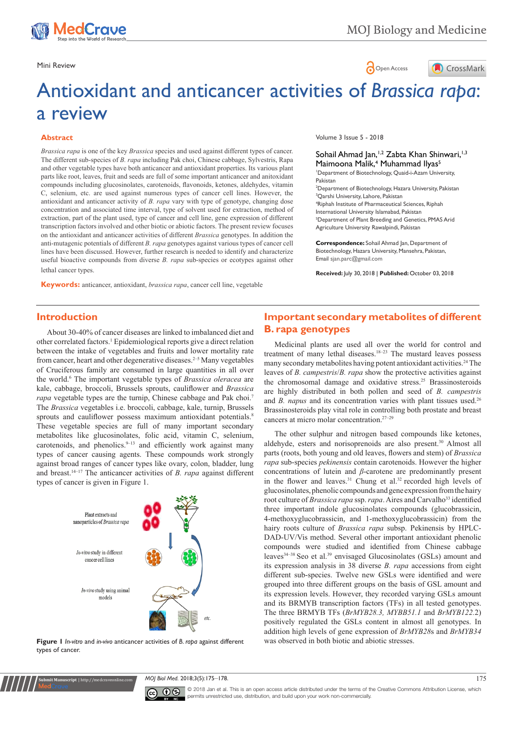

Mini Review **Open Access** 



# Antioxidant and anticancer activities of *Brassica rapa*: a review

### **Abstract**

*Brassica rapa* is one of the key *Brassica* species and used against different types of cancer. The different sub-species of *B. rapa* including Pak choi, Chinese cabbage, Sylvestris, Rapa and other vegetable types have both anticancer and antioxidant properties. Its various plant parts like root, leaves, fruit and seeds are full of some important anticancer and anitoxidant compounds including glucosinolates, carotenoids, flavonoids, ketones, aldehydes, vitamin C, selenium, etc. are used against numerous types of cancer cell lines. However, the antioxidant and anticancer activity of *B. rapa* vary with type of genotype, changing dose concentration and associated time interval, type of solvent used for extraction, method of extraction, part of the plant used, type of cancer and cell line, gene expression of different transcription factors involved and other biotic or abiotic factors. The present review focuses on the antioxidant and anticancer activities of different *Brassica* genotypes. In addition the anti-mutagenic potentials of different *B. rapa* genotypes against various types of cancer cell lines have been discussed. However, further research is needed to identify and characterize useful bioactive compounds from diverse *B. rapa* sub-species or ecotypes against other lethal cancer types.

**Keywords:** anticancer, antioxidant, *brassica rapa*, cancer cell line, vegetable

Volume 3 Issue 5 - 2018

## Sohail Ahmad Jan,<sup>1,2</sup> Zabta Khan Shinwari,<sup>1,3</sup> Maimoona Malik,<sup>4</sup> Muhammad Ilyas<sup>5</sup>

1 Department of Biotechnology, Quaid-i-Azam University, Pakistan 2 Department of Biotechnology, Hazara University, Pakistan

3 Qarshi University, Lahore, Pakistan 4 Riphah Institute of Pharmaceutical Sciences, Riphah International University Islamabad, Pakistan 5 Department of Plant Breeding and Genetics, PMAS Arid Agriculture University Rawalpindi, Pakistan

**Correspondence:** Sohail Ahmad Jan, Department of Biotechnology, Hazara University, Mansehra, Pakistan, Email sjan.parc@gmail.com

**Received:** July 30, 2018 | **Published:** October 03, 2018

## **Introduction**

About 30-40% of cancer diseases are linked to imbalanced diet and other correlated factors.1 Epidemiological reports give a direct relation between the intake of vegetables and fruits and lower mortality rate from cancer, heart and other degenerative diseases.2–5 Many vegetables of Cruciferous family are consumed in large quantities in all over the world.6 The important vegetable types of *Brassica oleracea* are kale, cabbage, broccoli, Brussels sprouts, cauliflower and *Brassica rapa* vegetable types are the turnip, Chinese cabbage and Pak choi.7 The *Brassica* vegetables i.e. broccoli, cabbage, kale, turnip, Brussels sprouts and cauliflower possess maximum antioxidant potentials.<sup>8</sup> These vegetable species are full of many important secondary metabolites like glucosinolates, folic acid, vitamin C, selenium, carotenoids, and phenolics.<sup>9-13</sup> and efficiently work against many types of cancer causing agents. These compounds work strongly against broad ranges of cancer types like ovary, colon, bladder, lung and breast.14–17 The anticancer activities of *B. rapa* against different types of cancer is given in Figure 1.



**Figure 1** *In-vitro* and *in-vivo* anticancer activities of *B. rapa* against different types of cancer.

**it Manuscript** | http://medcraveonline.

## **Important secondary metabolites of different B. rapa genotypes**

Medicinal plants are used all over the world for control and treatment of many lethal diseases.18–23 The mustard leaves possess many secondary metabolites having potent antioxidant activities.<sup>24</sup> The leaves of *B. campestris*/*B. rapa* show the protective activities against the chromosomal damage and oxidative stress.25 Brassinosteroids are highly distributed in both pollen and seed of *B. campestris* and *B. napus* and its concentration varies with plant tissues used.<sup>26</sup> Brassinosteroids play vital role in controlling both prostate and breast cancers at micro molar concentration.27–29

The other sulphur and nitrogen based compounds like ketones, aldehyde, esters and norisoprenoids are also present.30 Almost all parts (roots, both young and old leaves, flowers and stem) of *Brassica rapa* sub-species *pekinensis* contain carotenoids. However the higher concentrations of lutein and *β*-carotene are predominantly present in the flower and leaves.<sup>31</sup> Chung et al.<sup>32</sup> recorded high levels of glucosinolates, phenolic compounds and gene expression from the hairy root culture of *Brassica rapa* ssp. *rapa*. Aires and Carvalho<sup>33</sup> identified three important indole glucosinolates compounds (glucobrassicin, 4-methoxyglucobrassicin, and 1-methoxyglucobrassicin) from the hairy roots culture of *Brassica rapa* subsp. Pekinensis by HPLC-DAD-UV/Vis method. Several other important antioxidant phenolic compounds were studied and identified from Chinese cabbage leaves34–38 Seo et al.39 envisaged Glucosinolates (GSLs) amount and its expression analysis in 38 diverse *B. rapa* accessions from eight different sub-species. Twelve new GSLs were identified and were grouped into three different groups on the basis of GSL amount and its expression levels. However, they recorded varying GSLs amount and its BRMYB transcription factors (TFs) in all tested genotypes. The three BRMYB TFs (*BrMYB28.3, MYBB51.1* and *BrMYB122.*2) positively regulated the GSLs content in almost all genotypes. In addition high levels of gene expression of *BrMYB28*s and *BrMYB34*  was observed in both biotic and abiotic stresses.

*MOJ Biol Med.* 2018;3(5):175‒178. 175



© 2018 Jan et al. This is an open access article distributed under the terms of the [Creative Commons Attribution License](https://creativecommons.org/licenses/by-nc/4.0/), which permits unrestricted use, distribution, and build upon your work non-commercially.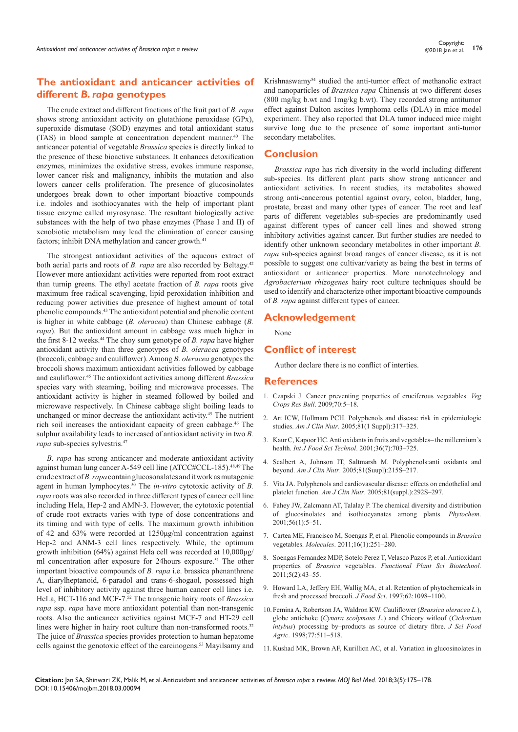## **The antioxidant and anticancer activities of different** *B. rapa* **genotypes**

The crude extract and different fractions of the fruit part of *B. rapa* shows strong antioxidant activity on glutathione peroxidase (GPx), superoxide dismutase (SOD) enzymes and total antioxidant status (TAS) in blood sample at concentration dependent manner.<sup>40</sup> The anticancer potential of vegetable *Brassica* species is directly linked to the presence of these bioactive substances. It enhances detoxification enzymes, minimizes the oxidative stress, evokes immune response, lower cancer risk and malignancy, inhibits the mutation and also lowers cancer cells proliferation. The presence of glucosinolates undergoes break down to other important bioactive compounds i.e. indoles and isothiocyanates with the help of important plant tissue enzyme called myrosynase. The resultant biologically active substances with the help of two phase enzymes (Phase I and II) of xenobiotic metabolism may lead the elimination of cancer causing factors; inhibit DNA methylation and cancer growth.<sup>41</sup>

The strongest antioxidant activities of the aqueous extract of both aerial parts and roots of *B. rapa* are also recorded by Beltagy.42 However more antioxidant activities were reported from root extract than turnip greens. The ethyl acetate fraction of *B. rapa* roots give maximum free radical scavenging, lipid peroxidation inhibition and reducing power activities due presence of highest amount of total phenolic compounds.43 The antioxidant potential and phenolic content is higher in white cabbage (*B. oleracea*) than Chinese cabbage (*B. rapa*). But the antioxidant amount in cabbage was much higher in the first 8-12 weeks.44 The choy sum genotype of *B. rapa* have higher antioxidant activity than three genotypes of *B. oleracea* genotypes (broccoli, cabbage and cauliflower). Among *B. oleracea* genotypes the broccoli shows maximum antioxidant activities followed by cabbage and cauliflower.<sup>45</sup> The antioxidant activities among different *Brassica*  species vary with steaming, boiling and microwave processes. The antioxidant activity is higher in steamed followed by boiled and microwave respectively. In Chinese cabbage slight boiling leads to unchanged or minor decrease the antioxidant activity.<sup>45</sup> The nutrient rich soil increases the antioxidant capacity of green cabbage.46 The sulphur availability leads to increased of antioxidant activity in two *B. rapa* sub-species sylvestris.47

*B. rapa* has strong anticancer and moderate antioxidant activity against human lung cancer A-549 cell line (ATCC#CCL-185).48,49 The crude extract of *B. rapa* contain glucosonalates and it work as mutagenic agent in human lymphocytes.50 The *in-vitro* cytotoxic activity of *B. rapa* roots was also recorded in three different types of cancer cell line including Hela, Hep-2 and AMN-3. However, the cytotoxic potential of crude root extracts varies with type of dose concentrations and its timing and with type of cells. The maximum growth inhibition of 42 and 63% were recorded at 1250μg/ml concentration against Hep-2 and ANM-3 cell lines respectively. While, the optimum growth inhibition (64%) against Hela cell was recorded at 10,000μg/ ml concentration after exposure for 24hours exposure.<sup>51</sup> The other important bioactive compounds of *B. rapa* i.e. brassica phenanthrene A, diarylheptanoid, 6-paradol and trans-6-shogaol, possessed high level of inhibitory activity against three human cancer cell lines i.e. HeLa, HCT-116 and MCF-7.52 The transgenic hairy roots of *Brassica rapa* ssp. *rapa* have more antioxidant potential than non-transgenic roots. Also the anticancer activities against MCF-7 and HT-29 cell lines were higher in hairy root culture than non-transformed roots.<sup>32</sup> The juice of *Brassica* species provides protection to human hepatome cells against the genotoxic effect of the carcinogens.53 Mayilsamy and Krishnaswamy54 studied the anti-tumor effect of methanolic extract and nanoparticles of *Brassica rapa* Chinensis at two different doses (800 mg/kg b.wt and 1mg/kg b.wt). They recorded strong antitumor effect against Dalton ascites lymphoma cells (DLA) in mice model experiment. They also reported that DLA tumor induced mice might survive long due to the presence of some important anti-tumor secondary metabolites.

## **Conclusion**

*Brassica rapa* has rich diversity in the world including different sub-species. Its different plant parts show strong anticancer and antioxidant activities. In recent studies, its metabolites showed strong anti-cancerous potential against ovary, colon, bladder, lung, prostate, breast and many other types of cancer. The root and leaf parts of different vegetables sub-species are predominantly used against different types of cancer cell lines and showed strong inhibitory activities against cancer. But further studies are needed to identify other unknown secondary metabolites in other important *B. rapa* sub-species against broad ranges of cancer disease, as it is not possible to suggest one cultivar/variety as being the best in terms of antioxidant or anticancer properties. More nanotechnology and *Agrobacterium rhizogenes* hairy root culture techniques should be used to identify and characterize other important bioactive compounds of *B. rapa* against different types of cancer.

## **Acknowledgement**

None

## **Conflict of interest**

Author declare there is no conflict of interties.

#### **References**

- 1. [Czapski J. Cancer preventing properties of cruciferous vegetables.](https://www.degruyter.com/downloadpdf/j/vcrb.2009.70.issue--1/v10032-009-0001-3/v10032-009-0001-3.pdf) *Veg Crops Res Bull*[. 2009;70:5–18.](https://www.degruyter.com/downloadpdf/j/vcrb.2009.70.issue--1/v10032-009-0001-3/v10032-009-0001-3.pdf)
- 2. [Art ICW, Hollmam PCH. Polyphenols and disease risk in epidemiologic](https://www.ncbi.nlm.nih.gov/pubmed/15640497)  studies. *Am J Clin Nutr*[. 2005;81\(1 Suppl\):317–325.](https://www.ncbi.nlm.nih.gov/pubmed/15640497)
- 3. [Kaur C, Kapoor HC. Anti oxidants in fruits and vegetables– the millennium's](https://onlinelibrary.wiley.com/doi/full/10.1111/j.1365-2621.2001.00513.x)  health. *[Int J Food Sci Technol](https://onlinelibrary.wiley.com/doi/full/10.1111/j.1365-2621.2001.00513.x)*. 2001;36(7):703–725.
- 4. [Scalbert A, Johnson IT, Saltmarsh M. Polyphenols:anti oxidants and](https://www.ncbi.nlm.nih.gov/pubmed/15640483)  beyond. *Am J Clin Nutr*[. 2005;81\(Suupl\):215S–217.](https://www.ncbi.nlm.nih.gov/pubmed/15640483)
- 5. [Vita JA. Polyphenols and cardiovascular disease: effects on endothelial and](https://www.ncbi.nlm.nih.gov/pubmed/15640493)  platelet function. *Am J Clin Nutr*[. 2005;81\(suppl.\):292S–297.](https://www.ncbi.nlm.nih.gov/pubmed/15640493)
- 6. [Fahey JW, Zalcmann AT, Talalay P. The chemical diversity and distribution](https://www.ncbi.nlm.nih.gov/pubmed/11198818)  [of glucosinolates and isothiocyanates among plants.](https://www.ncbi.nlm.nih.gov/pubmed/11198818) *Phytochem*. [2001;56\(1\):5–51.](https://www.ncbi.nlm.nih.gov/pubmed/11198818)
- 7. [Cartea ME, Francisco M, Soengas P, et al. Phenolic compounds in](https://www.ncbi.nlm.nih.gov/pubmed/21193847) *Brassica* vegetables. *Molecules*[. 2011;16\(1\):251–280.](https://www.ncbi.nlm.nih.gov/pubmed/21193847)
- 8. [Soengas Fernandez MDP, Sotelo Perez T, Velasco Pazos P, et al. Antioxidant](http://www.globalsciencebooks.info/Online/GSBOnline/images/2011/FPSB_5(SI2)/FPSB_5(SI2)43-55o.pdf)  properties of *Brassica* vegetables. *[Functional Plant Sci Biotechnol](http://www.globalsciencebooks.info/Online/GSBOnline/images/2011/FPSB_5(SI2)/FPSB_5(SI2)43-55o.pdf)*. [2011;5\(2\):43–55.](http://www.globalsciencebooks.info/Online/GSBOnline/images/2011/FPSB_5(SI2)/FPSB_5(SI2)43-55o.pdf)
- 9. [Howard LA, Jeffery EH, Wallig MA, et al. Retention of phytochemicals in](https://onlinelibrary.wiley.com/doi/abs/10.1111/j.1365-2621.1997.tb12221.x)  [fresh and processed broccoli.](https://onlinelibrary.wiley.com/doi/abs/10.1111/j.1365-2621.1997.tb12221.x) *J Food Sci*. 1997;62:1098–1100.
- 10.[Femina A, Robertson JA, Waldron KW. Cauliflower \(](https://onlinelibrary.wiley.com/doi/abs/10.1002/%28SICI%291097-0010%28199808%2977%3A4%3C511%3A%3AAID-JSFA74%3E3.0.CO%3B2-2)*Brassica oleracea L.*), globe antichoke (*Cynara scolymous L*[.\) and Chicory witloof \(](https://onlinelibrary.wiley.com/doi/abs/10.1002/%28SICI%291097-0010%28199808%2977%3A4%3C511%3A%3AAID-JSFA74%3E3.0.CO%3B2-2)*Cichorium intybus*[\) processing by–products as source of dietary fibre.](https://onlinelibrary.wiley.com/doi/abs/10.1002/%28SICI%291097-0010%28199808%2977%3A4%3C511%3A%3AAID-JSFA74%3E3.0.CO%3B2-2) *J Sci Food Agric*[. 1998;77:511–518.](https://onlinelibrary.wiley.com/doi/abs/10.1002/%28SICI%291097-0010%28199808%2977%3A4%3C511%3A%3AAID-JSFA74%3E3.0.CO%3B2-2)
- 11. [Kushad MK, Brown AF, Kurillicn AC, et al. Variation in glucosinolates in](https://www.ncbi.nlm.nih.gov/pubmed/10564014)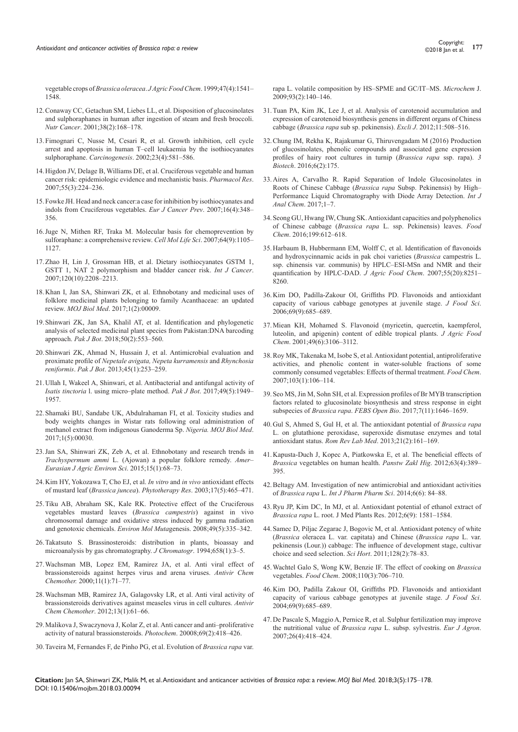vegetable crops of *Brassica oleracea*. *J Agric Food Chem*[. 1999;47\(4\):1541–](https://www.ncbi.nlm.nih.gov/pubmed/10564014) [1548.](https://www.ncbi.nlm.nih.gov/pubmed/10564014)

- 12.[Conaway CC, Getachun SM, Liebes LL, et al. Disposition of glucosinolates](https://www.ncbi.nlm.nih.gov/pubmed/11525594)  [and sulphoraphanes in human after ingestion of steam and fresh broccoli.](https://www.ncbi.nlm.nih.gov/pubmed/11525594)  *Nutr Cancer*[. 2001;38\(2\):168–178.](https://www.ncbi.nlm.nih.gov/pubmed/11525594)
- 13.[Fimognari C, Nusse M, Cesari R, et al. Growth inhibition, cell cycle](https://www.ncbi.nlm.nih.gov/pubmed/11960909)  [arrest and apoptosis in human T–cell leukaemia by the isothiocyanates](https://www.ncbi.nlm.nih.gov/pubmed/11960909)  sulphoraphane. *Carcinogenesis*[. 2002;23\(4\):581–586.](https://www.ncbi.nlm.nih.gov/pubmed/11960909)
- 14.[Higdon JV, Delage B, Williams DE, et al. Cruciferous vegetable and human](https://www.ncbi.nlm.nih.gov/pubmed/17317210)  [cancer risk: epidemiologic evidence and mechanistic basis.](https://www.ncbi.nlm.nih.gov/pubmed/17317210) *Pharmacol Res*. [2007;55\(3\):224–236.](https://www.ncbi.nlm.nih.gov/pubmed/17317210)
- 15.[Fowke JH. Head and neck cancer:a case for inhibition by isothiocyanates and](https://www.ncbi.nlm.nih.gov/pubmed/17554208)  [indols from Cruciferous vegetables.](https://www.ncbi.nlm.nih.gov/pubmed/17554208) *Eur J Cancer Prev*. 2007;16(4):348– [356.](https://www.ncbi.nlm.nih.gov/pubmed/17554208)
- 16.[Juge N, Mithen RF, Traka M. Molecular basis for chemoprevention by](https://www.ncbi.nlm.nih.gov/pubmed/17396224)  [sulforaphane: a comprehensive review.](https://www.ncbi.nlm.nih.gov/pubmed/17396224) *Cell Mol Life Sci*. 2007;64(9):1105– [1127.](https://www.ncbi.nlm.nih.gov/pubmed/17396224)
- 17.[Zhao H, Lin J, Grossman HB, et al. Dietary isothiocyanates GSTM 1,](https://www.ncbi.nlm.nih.gov/pubmed/17290402)  [GSTT 1, NAT 2 polymorphism and bladder cancer risk.](https://www.ncbi.nlm.nih.gov/pubmed/17290402) *Int J Cancer*. [2007;120\(10\):2208–2213.](https://www.ncbi.nlm.nih.gov/pubmed/17290402)
- 18.Khan I, Jan SA, Shinwari ZK, et al. Ethnobotany and medicinal uses of folklore medicinal plants belonging to family Acanthaceae: an updated review. *MOJ Biol Med*. 2017;1(2):00009.
- 19.Shinwari ZK, Jan SA, Khalil AT, et al. [Identification and phylogenetic](https://www.pakbs.org/pjbot/papers/1518733556.pdf)  [analysis of selected medicinal plant species from Pakistan:DNA barcoding](https://www.pakbs.org/pjbot/papers/1518733556.pdf)  approach. *Pak J Bot*[. 2018;50\(2\):553–560.](https://www.pakbs.org/pjbot/papers/1518733556.pdf)
- 20.[Shinwari ZK, Ahmad N, Hussain J, et al. Antimicrobial evaluation and](https://www.pakbs.org/pjbot/PDFs/45(1)/36.pdf)  [proximate profile of](https://www.pakbs.org/pjbot/PDFs/45(1)/36.pdf) *Nepetale avigata, Nepeta kurramensis* and *Rhynchosia reniformis*. *Pak J Bot*[. 2013;45\(1\):253–259.](https://www.pakbs.org/pjbot/PDFs/45(1)/36.pdf)
- 21.Ullah I, Wakeel A, Shinwari, et al. Antibacterial and antifungal activity of *Isatis tinctoria* l. using micro–plate method. *Pak J Bot*. 2017;49(5):1949– 1957.
- 22.[Shamaki BU, Sandabe UK, Abdulrahaman FI, et al. Toxicity studies and](https://medcraveonline.com/MOJBM/MOJBM-01-00030.pdf)  [body weights changes in Wistar rats following oral administration of](https://medcraveonline.com/MOJBM/MOJBM-01-00030.pdf)  [methanol extract from indigenous Ganoderma Sp.](https://medcraveonline.com/MOJBM/MOJBM-01-00030.pdf) *Nigeria. MOJ Biol Med*. [2017;1\(5\):00030.](https://medcraveonline.com/MOJBM/MOJBM-01-00030.pdf)
- 23.[Jan SA, Shinwari ZK, Zeb A, et al. Ethnobotany and research trends in](https://www.idosi.org/aejaes/jaes15(1)15/11.pdf)  *Trachyspermum ammi* [L. \(Ajowan\) a popular folklore remedy.](https://www.idosi.org/aejaes/jaes15(1)15/11.pdf) *Amer– [Eurasian J Agric Environ Sci](https://www.idosi.org/aejaes/jaes15(1)15/11.pdf)*. 2015;15(1):68–73.
- 24.[Kim HY, Yokozawa T, Cho EJ, et al.](https://www.ncbi.nlm.nih.gov/pubmed/12748980) *In vitro* and *in vivo* antioxidant effects of mustard leaf (*Brassica juncea*). *Phytotherapy Res*[. 2003;17\(5\):465–471.](https://www.ncbi.nlm.nih.gov/pubmed/12748980)
- 25.[Tiku AB, Abraham SK, Kale RK. Protective effect of the Cruciferous](https://www.ncbi.nlm.nih.gov/pubmed/18418865)  [vegetables mustard leaves \(](https://www.ncbi.nlm.nih.gov/pubmed/18418865)*Brassica campestris*) against in vivo [chromosomal damage and oxidative stress induced by gamma radiation](https://www.ncbi.nlm.nih.gov/pubmed/18418865)  and genotoxic chemicals. *Environ Mol Muta*[genesis. 2008;49\(5\):335–342.](https://www.ncbi.nlm.nih.gov/pubmed/18418865)
- 26.[Takatsuto S. Brassinosteroids: distribution in plants, bioassay and](https://www.sciencedirect.com/science/article/pii/0021967394852022)  [microanalysis by gas chromatography.](https://www.sciencedirect.com/science/article/pii/0021967394852022) *J Chromatogr*. 1994;658(1):3–5.
- 27.[Wachsman MB, Lopez EM, Ramirez JA, et al. Anti viral effect of](https://www.ncbi.nlm.nih.gov/pubmed/10693656)  [brassionsteroids against herpes virus and arena viruses.](https://www.ncbi.nlm.nih.gov/pubmed/10693656) *Antivir Chem Chemother.* [2000;11\(1\):71–77.](https://www.ncbi.nlm.nih.gov/pubmed/10693656)
- 28.[Wachsman MB, Ramirez JA, Galagovsky LR, et al. Anti viral activity of](https://www.ncbi.nlm.nih.gov/pubmed/12180649)  [brassionsteroids derivatives against measeles virus in cell cultures.](https://www.ncbi.nlm.nih.gov/pubmed/12180649) *Antivir Chem Chemother*[. 2012;13\(1\):61–66.](https://www.ncbi.nlm.nih.gov/pubmed/12180649)
- 29.[Malikova J, Swaczynova J, Kolar Z, et al. Anti cancer and anti–proliferative](https://www.ncbi.nlm.nih.gov/pubmed/17869317)  [activity of natural brassionsteroids.](https://www.ncbi.nlm.nih.gov/pubmed/17869317) *Photochem*. 20008;69(2):418–426.
- 30.[Taveira M, Fernandes F, de Pinho PG, et al. Evolution of](https://www.sciencedirect.com/science/article/pii/S0026265X09000848) *Brassica rapa* var.

[rapa L. volatile composition by HS–SPME and GC/IT–MS.](https://www.sciencedirect.com/science/article/pii/S0026265X09000848) *Microchem* J. [2009;93\(2\):140–146.](https://www.sciencedirect.com/science/article/pii/S0026265X09000848)

- 31.[Tuan PA, Kim JK, Lee J, et al. Analysis of carotenoid accumulation and](https://www.ncbi.nlm.nih.gov/pubmed/27540344)  [expression of carotenoid biosynthesis genens in different organs of Chiness](https://www.ncbi.nlm.nih.gov/pubmed/27540344)  cabbage (*Brassica rapa* [sub sp. pekinensis\).](https://www.ncbi.nlm.nih.gov/pubmed/27540344) *Excli J*. 2012;11:508–516.
- 32.[Chung IM, Rekha K, Rajakumar G, Thiruvengadam M \(2016\) Production](https://www.ncbi.nlm.nih.gov/pubmed/28330247/)  [of glucosinolates, phenolic compounds and associated gene expression](https://www.ncbi.nlm.nih.gov/pubmed/28330247/)  [profiles of hairy root cultures in turnip \(](https://www.ncbi.nlm.nih.gov/pubmed/28330247/)*Brassica rapa* ssp. rapa). *3 Biotech*. [2016;6\(2\):175.](https://www.ncbi.nlm.nih.gov/pubmed/28330247/)
- 33.[Aires A, Carvalho R. Rapid Separation of Indole Glucosinolates in](https://www.hindawi.com/journals/ijac/2017/5125329/)  Roots of Chinese Cabbage (*Brassica rapa* [Subsp. Pekinensis\) by High–](https://www.hindawi.com/journals/ijac/2017/5125329/) [Performance Liquid Chromatography with Diode Array Detection.](https://www.hindawi.com/journals/ijac/2017/5125329/) *Int J [Anal Chem](https://www.hindawi.com/journals/ijac/2017/5125329/)*. 2017;1–7.
- 34.[Seong GU, Hwang IW, Chung SK. Antioxidant capacities and polyphenolics](https://www.ncbi.nlm.nih.gov/pubmed/26776015)  of Chinese cabbage (*Brassica rapa* [L. ssp. Pekinensis\) leaves.](https://www.ncbi.nlm.nih.gov/pubmed/26776015) *Food Chem*. [2016;199:612–618.](https://www.ncbi.nlm.nih.gov/pubmed/26776015)
- 35.[Harbaum B, Hubbermann EM, Wolff C, et al. Identification of flavonoids](https://www.ncbi.nlm.nih.gov/pubmed/17848079)  [and hydroxycinnamic acids in pak choi varieties \(](https://www.ncbi.nlm.nih.gov/pubmed/17848079)*Brassica* campestris L. [ssp. chinensis var. communis\) by HPLC–ESI-MSn and NMR and their](https://www.ncbi.nlm.nih.gov/pubmed/17848079)  [quantification by HPLC-DAD.](https://www.ncbi.nlm.nih.gov/pubmed/17848079) *J Agric Food Chem*. 2007;55(20):8251– [8260.](https://www.ncbi.nlm.nih.gov/pubmed/17848079)
- 36.[Kim DO, Padilla-Zakour OI, Griffiths PD. Flavonoids and antioxidant](https://onlinelibrary.wiley.com/doi/abs/10.1111/j.1365-2621.2004.tb09916.x)  [capacity of various cabbage genotypes at juvenile stage.](https://onlinelibrary.wiley.com/doi/abs/10.1111/j.1365-2621.2004.tb09916.x) *J Food Sci*. [2006;69\(9\):685–689.](https://onlinelibrary.wiley.com/doi/abs/10.1111/j.1365-2621.2004.tb09916.x)
- 37.[Miean KH, Mohamed S. Flavonoid \(myricetin, quercetin, kaempferol,](https://www.ncbi.nlm.nih.gov/pubmed/11410016)  [luteolin, and apigenin\) content of edible tropical plants.](https://www.ncbi.nlm.nih.gov/pubmed/11410016) *J Agric Food Chem*[. 2001;49\(6\):3106–3112.](https://www.ncbi.nlm.nih.gov/pubmed/11410016)
- 38.[Roy MK, Takenaka M, Isobe S, et al. Antioxidant potential, antiproliferative](https://www.sciencedirect.com/science/article/pii/S0308814606006182)  [activities, and phenolic content in water-soluble fractions of some](https://www.sciencedirect.com/science/article/pii/S0308814606006182)  [commonly consumed vegetables: Effects of thermal treatment.](https://www.sciencedirect.com/science/article/pii/S0308814606006182) *Food Chem*. [2007;103\(1\):106–114.](https://www.sciencedirect.com/science/article/pii/S0308814606006182)
- 39.[Seo MS, Jin M, Sohn SH, et al. Expression profiles of Br MYB transcription](https://www.ncbi.nlm.nih.gov/pubmed/29123974/)  [factors related to glucosinolate biosynthesis and stress response in eight](https://www.ncbi.nlm.nih.gov/pubmed/29123974/)  subspecies of *Brassica rapa*. *FEBS Open Bio*. [2017;7\(11\):1646–1659.](https://www.ncbi.nlm.nih.gov/pubmed/29123974/)
- 40.[Gul S, Ahmed S, Gul H, et al. The antioxidant potential of](https://content.sciendo.com/view/journals/rrlm/21/2/article-p161.xml) *Brassica rapa* [L. on glutathione peroxidase, superoxide dismutase enzymes and total](https://content.sciendo.com/view/journals/rrlm/21/2/article-p161.xml)  antioxidant status. *Rom Rev Lab Med*. [2013;21\(2\):161–169.](https://content.sciendo.com/view/journals/rrlm/21/2/article-p161.xml)
- 41.[Kapusta-Duch J, Kopec A, Piatkowska E, et al. The beneficial effects of](https://www.ncbi.nlm.nih.gov/pubmed/23631258)  *Brassica* [vegetables on human health.](https://www.ncbi.nlm.nih.gov/pubmed/23631258) *Panstw Zakl Hig*. 2012;63(4):389– [395.](https://www.ncbi.nlm.nih.gov/pubmed/23631258)
- 42.[Beltagy AM. Investigation of new antimicrobial and antioxidant activities](https://innovareacademics.in/journal/ijpps/Vol6Issue6/9106.pdf)  of *Brassica rapa* L. *[Int J Pharm Pharm Sci](https://innovareacademics.in/journal/ijpps/Vol6Issue6/9106.pdf)*. 2014;6(6): 84–88.
- 43.[Ryu JP, Kim DC, In MJ, et al. Antioxidant potential of ethanol extract of](https://academicjournals.org/article/article1380808025_Ryu%20et%20al%20%2014.pdf)  *Brassica rapa* L. root. J Med Plants Res. [2012;6\(9\): 1581–1584.](https://academicjournals.org/article/article1380808025_Ryu%20et%20al%20%2014.pdf)
- 44.[Samec D, Piljac Zegarac J, Bogovic M, et al. Antioxidant potency of white](https://cpb-us-w2.wpmucdn.com/u.osu.edu/dist/9/24091/files/2016/01/antioxidant-cpcty-cbg-types-stages-11-1-1fry8ig.pdf)  (*Brassica* [oleracea L. var. capitata\) and Chinese \(](https://cpb-us-w2.wpmucdn.com/u.osu.edu/dist/9/24091/files/2016/01/antioxidant-cpcty-cbg-types-stages-11-1-1fry8ig.pdf)*Brassica rapa* L. var. [pekinensis \(Lour.\)\) cabbage: The influence of development stage, cultivar](https://cpb-us-w2.wpmucdn.com/u.osu.edu/dist/9/24091/files/2016/01/antioxidant-cpcty-cbg-types-stages-11-1-1fry8ig.pdf)  [choice and seed selection.](https://cpb-us-w2.wpmucdn.com/u.osu.edu/dist/9/24091/files/2016/01/antioxidant-cpcty-cbg-types-stages-11-1-1fry8ig.pdf) *Sci Hort*. 2011;128(2):78–83.
- 45.[Wachtel Galo S, Wong KW, Benzie IF. The effect of cooking on](https://www.sciencedirect.com/science/article/pii/S0308814608002148) *Brassica* vegetables. *Food Chem*[. 2008;110\(3\):706–710.](https://www.sciencedirect.com/science/article/pii/S0308814608002148)
- 46.[Kim DO, Padilla Zakour OI, Griffiths PD. Flavonoids and antioxidant](https://onlinelibrary.wiley.com/doi/abs/10.1111/j.1365-2621.2004.tb09916.x)  [capacity of various cabbage genotypes at juvenile stage.](https://onlinelibrary.wiley.com/doi/abs/10.1111/j.1365-2621.2004.tb09916.x) *J Food Sci*. [2004;69\(9\):685–689.](https://onlinelibrary.wiley.com/doi/abs/10.1111/j.1365-2621.2004.tb09916.x)
- 47.[De Pascale S, Maggio A, Pernice R, et al. Sulphur fertilization may improve](http://wpage.unina.it/fogliano/Slides%20FIPDes%20Seminars/Maggio%20DePascale%20EJA%202007.pdf)  [the nutritional value of](http://wpage.unina.it/fogliano/Slides%20FIPDes%20Seminars/Maggio%20DePascale%20EJA%202007.pdf) *Brassica rapa* L. subsp. sylvestris. *Eur J Agron*. [2007;26\(4\):418–424.](http://wpage.unina.it/fogliano/Slides%20FIPDes%20Seminars/Maggio%20DePascale%20EJA%202007.pdf)

**Citation:** Jan SA, Shinwari ZK, Malik M, et al. Antioxidant and anticancer activities of *Brassica rapa*: a review. *MOJ Biol Med.* 2018;3(5):175‒178. DOI: [10.15406/mojbm.2018.03.00094](https://doi.org/10.15406/mojbm.2018.03.00094
)